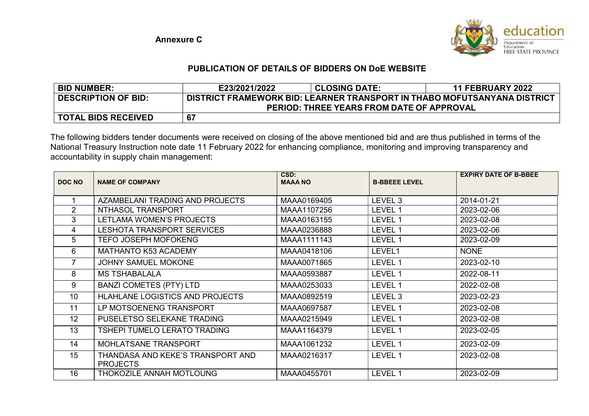

## PUBLICATION OF DETAILS OF BIDDERS ON DoE WEBSITE

| <b>BID NUMBER:</b>         | E23/2021/2022                                                            | <b>CLOSING DATE:</b> | <b>11 FEBRUARY 2022</b> |  |
|----------------------------|--------------------------------------------------------------------------|----------------------|-------------------------|--|
| <b>DESCRIPTION OF BID:</b> | DISTRICT FRAMEWORK BID: LEARNER TRANSPORT IN THABO MOFUTSANYANA DISTRICT |                      |                         |  |
|                            | <b>PERIOD: THREE YEARS FROM DATE OF APPROVAL</b>                         |                      |                         |  |
| <b>TOTAL BIDS RECEIVED</b> | 67                                                                       |                      |                         |  |

The following bidders tender documents were received on closing of the above mentioned bid and are thus published in terms of the National Treasury Instruction note date 11 February 2022 for enhancing compliance, monitoring and improving transparency and accountability in supply chain management:

| DOC NO         | <b>NAME OF COMPANY</b>                               | CSD:<br><b>MAAA NO</b> | <b>B-BBEEE LEVEL</b> | <b>EXPIRY DATE OF B-BBEE</b> |
|----------------|------------------------------------------------------|------------------------|----------------------|------------------------------|
|                |                                                      |                        |                      |                              |
|                | AZAMBELANI TRADING AND PROJECTS                      | MAAA0169405            | LEVEL <sub>3</sub>   | 2014-01-21                   |
| $\overline{2}$ | NTHASOL TRANSPORT                                    | MAAA1107256            | LEVEL 1              | 2023-02-06                   |
| 3              | LETLAMA WOMEN'S PROJECTS                             | MAAA0163155            | LEVEL 1              | 2023-02-08                   |
| 4              | LESHOTA TRANSPORT SERVICES                           | MAAA0236888            | LEVEL 1              | 2023-02-06                   |
| 5              | <b>TEFO JOSEPH MOFOKENG</b>                          | MAAA1111143            | LEVEL 1              | 2023-02-09                   |
| 6              | <b>MATHANTO K53 ACADEMY</b>                          | MAAA0418106            | LEVEL1               | <b>NONE</b>                  |
| $\overline{7}$ | <b>JOHNY SAMUEL MOKONE</b>                           | MAAA0071865            | LEVEL 1              | 2023-02-10                   |
| 8              | <b>MS TSHABALALA</b>                                 | MAAA0593887            | LEVEL 1              | 2022-08-11                   |
| 9              | <b>BANZI COMETES (PTY) LTD</b>                       | MAAA0253033            | LEVEL 1              | 2022-02-08                   |
| 10             | <b>HLAHLANE LOGISTICS AND PROJECTS</b>               | MAAA0892519            | LEVEL 3              | 2023-02-23                   |
| 11             | LP MOTSOENENG TRANSPORT                              | MAAA0697587            | LEVEL 1              | 2023-02-08                   |
| 12             | PUSELETSO SELEKANE TRADING                           | MAAA0215949            | LEVEL 1              | 2023-02-08                   |
| 13             | TSHEPI TUMELO LERATO TRADING                         | MAAA1164379            | LEVEL 1              | 2023-02-05                   |
| 14             | MOHLATSANE TRANSPORT                                 | MAAA1061232            | LEVEL 1              | 2023-02-09                   |
| 15             | THANDASA AND KEKE'S TRANSPORT AND<br><b>PROJECTS</b> | MAAA0216317            | LEVEL 1              | 2023-02-08                   |
| 16             | THOKOZILE ANNAH MOTLOUNG                             | MAAA0455701            | LEVEL 1              | 2023-02-09                   |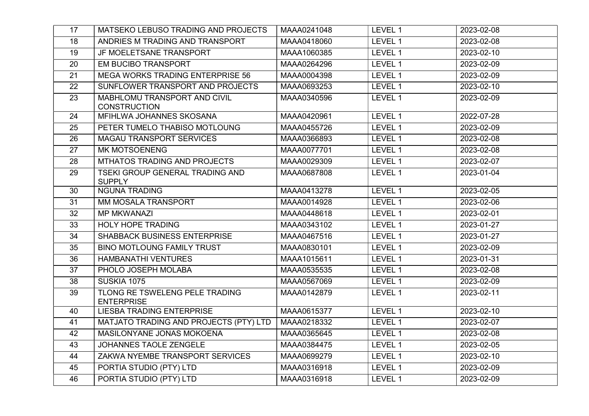| 17 | MATSEKO LEBUSO TRADING AND PROJECTS                 | MAAA0241048 | LEVEL 1 | 2023-02-08 |
|----|-----------------------------------------------------|-------------|---------|------------|
| 18 | ANDRIES M TRADING AND TRANSPORT                     | MAAA0418060 | LEVEL 1 | 2023-02-08 |
| 19 | JF MOELETSANE TRANSPORT                             | MAAA1060385 | LEVEL 1 | 2023-02-10 |
| 20 | EM BUCIBO TRANSPORT                                 | MAAA0264296 | LEVEL 1 | 2023-02-09 |
| 21 | <b>MEGA WORKS TRADING ENTERPRISE 56</b>             | MAAA0004398 | LEVEL 1 | 2023-02-09 |
| 22 | SUNFLOWER TRANSPORT AND PROJECTS                    | MAAA0693253 | LEVEL 1 | 2023-02-10 |
| 23 | MABHLOMU TRANSPORT AND CIVIL<br><b>CONSTRUCTION</b> | MAAA0340596 | LEVEL 1 | 2023-02-09 |
| 24 | MFIHLWA JOHANNES SKOSANA                            | MAAA0420961 | LEVEL 1 | 2022-07-28 |
| 25 | PETER TUMELO THABISO MOTLOUNG                       | MAAA0455726 | LEVEL 1 | 2023-02-09 |
| 26 | MAGAU TRANSPORT SERVICES                            | MAAA0366893 | LEVEL 1 | 2023-02-08 |
| 27 | <b>MK MOTSOENENG</b>                                | MAAA0077701 | LEVEL 1 | 2023-02-08 |
| 28 | MTHATOS TRADING AND PROJECTS                        | MAAA0029309 | LEVEL 1 | 2023-02-07 |
| 29 | TSEKI GROUP GENERAL TRADING AND<br><b>SUPPLY</b>    | MAAA0687808 | LEVEL 1 | 2023-01-04 |
| 30 | <b>NGUNA TRADING</b>                                | MAAA0413278 | LEVEL 1 | 2023-02-05 |
| 31 | MM MOSALA TRANSPORT                                 | MAAA0014928 | LEVEL 1 | 2023-02-06 |
| 32 | <b>MP MKWANAZI</b>                                  | MAAA0448618 | LEVEL 1 | 2023-02-01 |
| 33 | <b>HOLY HOPE TRADING</b>                            | MAAA0343102 | LEVEL 1 | 2023-01-27 |
| 34 | SHABBACK BUSINESS ENTERPRISE                        | MAAA0467516 | LEVEL 1 | 2023-01-27 |
| 35 | <b>BINO MOTLOUNG FAMILY TRUST</b>                   | MAAA0830101 | LEVEL 1 | 2023-02-09 |
| 36 | <b>HAMBANATHI VENTURES</b>                          | MAAA1015611 | LEVEL 1 | 2023-01-31 |
| 37 | PHOLO JOSEPH MOLABA                                 | MAAA0535535 | LEVEL 1 | 2023-02-08 |
| 38 | <b>SUSKIA 1075</b>                                  | MAAA0567069 | LEVEL 1 | 2023-02-09 |
| 39 | TLONG RE TSWELENG PELE TRADING<br><b>ENTERPRISE</b> | MAAA0142879 | LEVEL 1 | 2023-02-11 |
| 40 | <b>LIESBA TRADING ENTERPRISE</b>                    | MAAA0615377 | LEVEL 1 | 2023-02-10 |
| 41 | MATJATO TRADING AND PROJECTS (PTY) LTD              | MAAA0218332 | LEVEL 1 | 2023-02-07 |
| 42 | MASILONYANE JONAS MOKOENA                           | MAAA0365645 | LEVEL 1 | 2023-02-08 |
| 43 | JOHANNES TAOLE ZENGELE                              | MAAA0384475 | LEVEL 1 | 2023-02-05 |
| 44 | ZAKWA NYEMBE TRANSPORT SERVICES                     | MAAA0699279 | LEVEL 1 | 2023-02-10 |
| 45 | PORTIA STUDIO (PTY) LTD                             | MAAA0316918 | LEVEL 1 | 2023-02-09 |
| 46 | PORTIA STUDIO (PTY) LTD                             | MAAA0316918 | LEVEL 1 | 2023-02-09 |